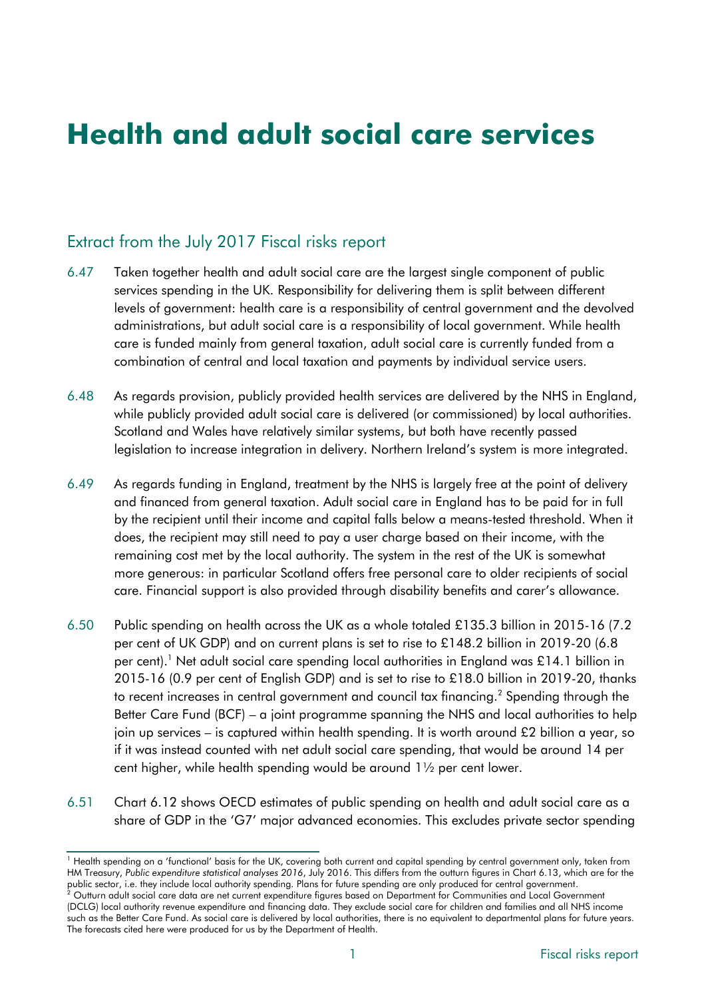# **Health and adult social care services**

# Extract from the July 2017 Fiscal risks report

- 6.47 Taken together health and adult social care are the largest single component of public services spending in the UK. Responsibility for delivering them is split between different levels of government: health care is a responsibility of central government and the devolved administrations, but adult social care is a responsibility of local government. While health care is funded mainly from general taxation, adult social care is currently funded from a combination of central and local taxation and payments by individual service users.
- 6.48 As regards provision, publicly provided health services are delivered by the NHS in England, while publicly provided adult social care is delivered (or commissioned) by local authorities. Scotland and Wales have relatively similar systems, but both have recently passed legislation to increase integration in delivery. Northern Ireland's system is more integrated.
- 6.49 As regards funding in England, treatment by the NHS is largely free at the point of delivery and financed from general taxation. Adult social care in England has to be paid for in full by the recipient until their income and capital falls below a means-tested threshold. When it does, the recipient may still need to pay a user charge based on their income, with the remaining cost met by the local authority. The system in the rest of the UK is somewhat more generous: in particular Scotland offers free personal care to older recipients of social care. Financial support is also provided through disability benefits and carer's allowance.
- 6.50 Public spending on health across the UK as a whole totaled £135.3 billion in 2015-16 (7.2 per cent of UK GDP) and on current plans is set to rise to £148.2 billion in 2019-20 (6.8 per cent).<sup>1</sup> Net adult social care spending local authorities in England was £14.1 billion in 2015-16 (0.9 per cent of English GDP) and is set to rise to £18.0 billion in 2019-20, thanks to recent increases in central government and council tax financing. $^{\text{2}}$  Spending through the Better Care Fund (BCF) – a joint programme spanning the NHS and local authorities to help join up services – is captured within health spending. It is worth around £2 billion a year, so if it was instead counted with net adult social care spending, that would be around 14 per cent higher, while health spending would be around 1½ per cent lower.
- 6.51 Chart 6.12 shows OECD estimates of public spending on health and adult social care as a share of GDP in the 'G7' major advanced economies. This excludes private sector spending

<sup>1</sup> Health spending on a 'functional' basis for the UK, covering both current and capital spending by central government only, taken from HM Treasury, *Public expenditure statistical analyses 2016*, July 2016. This differs from the outturn figures in Chart 6.13, which are for the public sector, i.e. they include local authority spending. Plans for future spending are only produced for central government.

<sup>2</sup> Outturn adult social care data are net current expenditure figures based on Department for Communities and Local Government (DCLG) local authority revenue expenditure and financing data. They exclude social care for children and families and all NHS income such as the Better Care Fund. As social care is delivered by local authorities, there is no equivalent to departmental plans for future years. The forecasts cited here were produced for us by the Department of Health.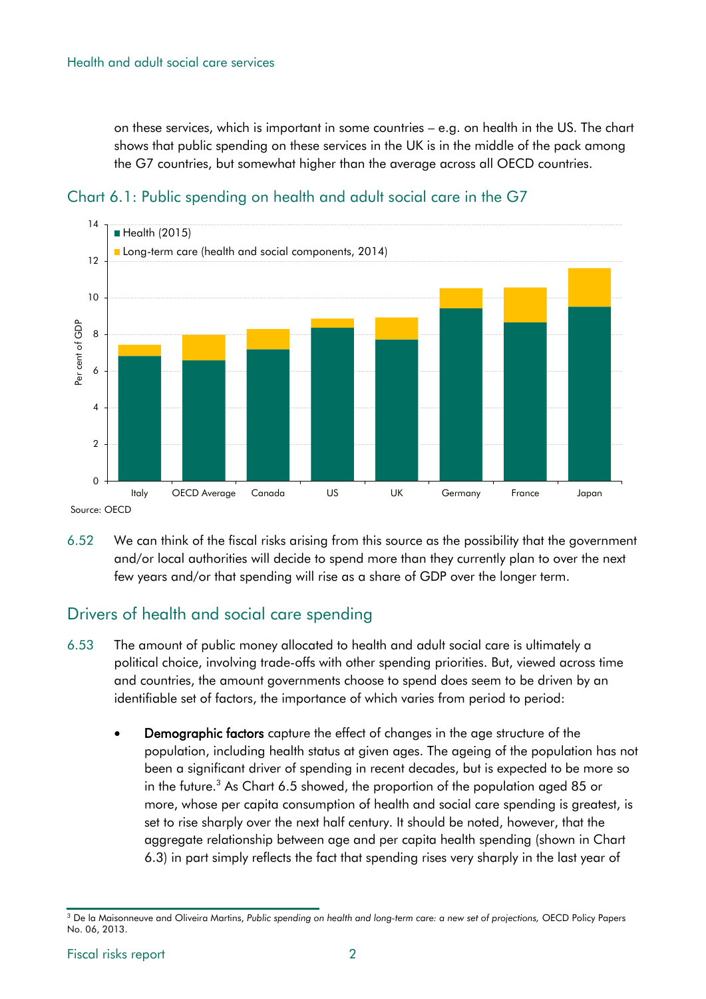on these services, which is important in some countries – e.g. on health in the US. The chart shows that public spending on these services in the UK is in the middle of the pack among the G7 countries, but somewhat higher than the average across all OECD countries.



Chart 6.1: Public spending on health and adult social care in the G7

Source: OECD

6.52 We can think of the fiscal risks arising from this source as the possibility that the government and/or local authorities will decide to spend more than they currently plan to over the next few years and/or that spending will rise as a share of GDP over the longer term.

# Drivers of health and social care spending

- 6.53 The amount of public money allocated to health and adult social care is ultimately a political choice, involving trade-offs with other spending priorities. But, viewed across time and countries, the amount governments choose to spend does seem to be driven by an identifiable set of factors, the importance of which varies from period to period:
	- Demographic factors capture the effect of changes in the age structure of the population, including health status at given ages. The ageing of the population has not been a significant driver of spending in recent decades, but is expected to be more so in the future.<sup>3</sup> As Chart 6.5 showed, the proportion of the population aged 85 or more, whose per capita consumption of health and social care spending is greatest, is set to rise sharply over the next half century. It should be noted, however, that the aggregate relationship between age and per capita health spending (shown in Chart 6.3) in part simply reflects the fact that spending rises very sharply in the last year of

<sup>3</sup> De la Maisonneuve and Oliveira Martins, *Public spending on health and long-term care: a new set of projections,* OECD Policy Papers No. 06, 2013.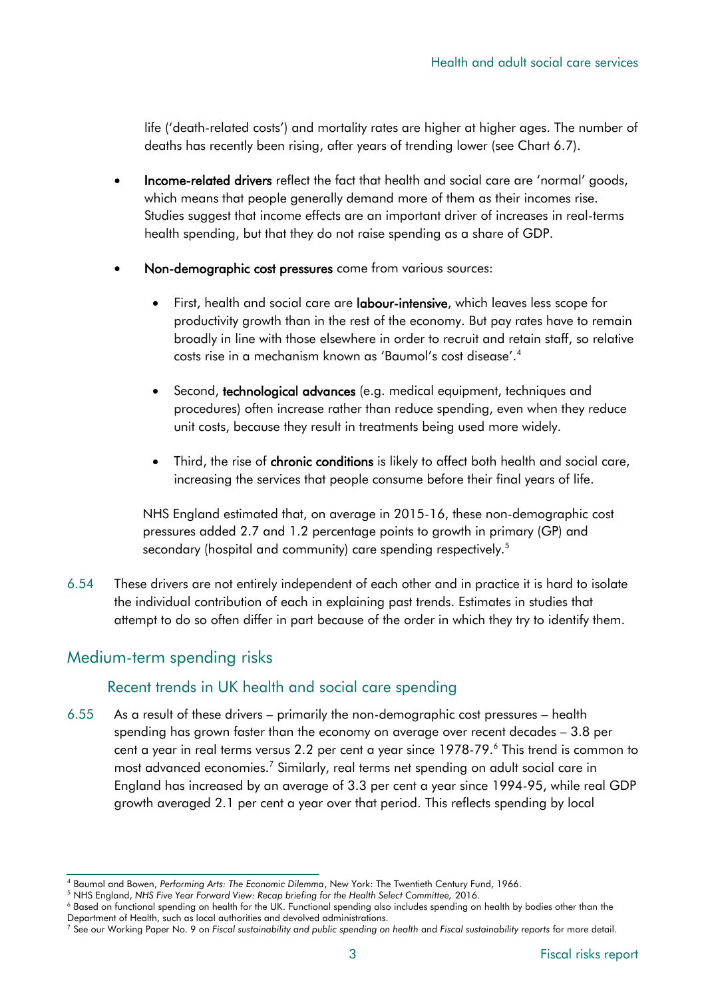life ('death-related costs') and mortality rates are higher at higher ages. The number of deaths has recently been rising, after years of trending lower (see Chart 6.7).

- Income-related drivers reflect the fact that health and social care are 'normal' goods, which means that people generally demand more of them as their incomes rise. Studies suggest that income effects are an important driver of increases in real-terms health spending, but that they do not raise spending as a share of GDP.
- Non-demographic cost pressures come from various sources:
	- First, health and social care are labour-intensive, which leaves less scope for productivity growth than in the rest of the economy. But pay rates have to remain broadly in line with those elsewhere in order to recruit and retain staff, so relative costs rise in a mechanism known as 'Baumol's cost disease'.<sup>4</sup>
	- Second, technological advances (e.g. medical equipment, techniques and procedures) often increase rather than reduce spending, even when they reduce unit costs, because they result in treatments being used more widely.
	- Third, the rise of chronic conditions is likely to affect both health and social care, increasing the services that people consume before their final years of life.

NHS England estimated that, on average in 2015-16, these non-demographic cost pressures added 2.7 and 1.2 percentage points to growth in primary (GP) and secondary (hospital and community) care spending respectively.<sup>5</sup>

6.54 These drivers are not entirely independent of each other and in practice it is hard to isolate the individual contribution of each in explaining past trends. Estimates in studies that attempt to do so often differ in part because of the order in which they try to identify them.

# Medium-term spending risks

# Recent trends in UK health and social care spending

6.55 As a result of these drivers – primarily the non-demographic cost pressures – health spending has grown faster than the economy on average over recent decades – 3.8 per cent a year in real terms versus 2.2 per cent a year since 1978-79.<sup>6</sup> This trend is common to most advanced economies.<sup>7</sup> Similarly, real terms net spending on adult social care in England has increased by an average of 3.3 per cent a year since 1994-95, while real GDP growth averaged 2.1 per cent a year over that period. This reflects spending by local

<sup>4</sup> Baumol and Bowen, *Performing Arts: The Economic Dilemma*, New York: The Twentieth Century Fund, 1966.

<sup>5</sup> NHS England, *NHS Five Year Forward View: Recap briefing for the Health Select Committee,* 2016.

<sup>&</sup>lt;sup>6</sup> Based on functional spending on health for the UK. Functional spending also includes spending on health by bodies other than the Department of Health, such as local authorities and devolved administrations.

<sup>7</sup> See our Working Paper No. 9 on *Fiscal sustainability and public spending on health* and *Fiscal sustainability reports* for more detail.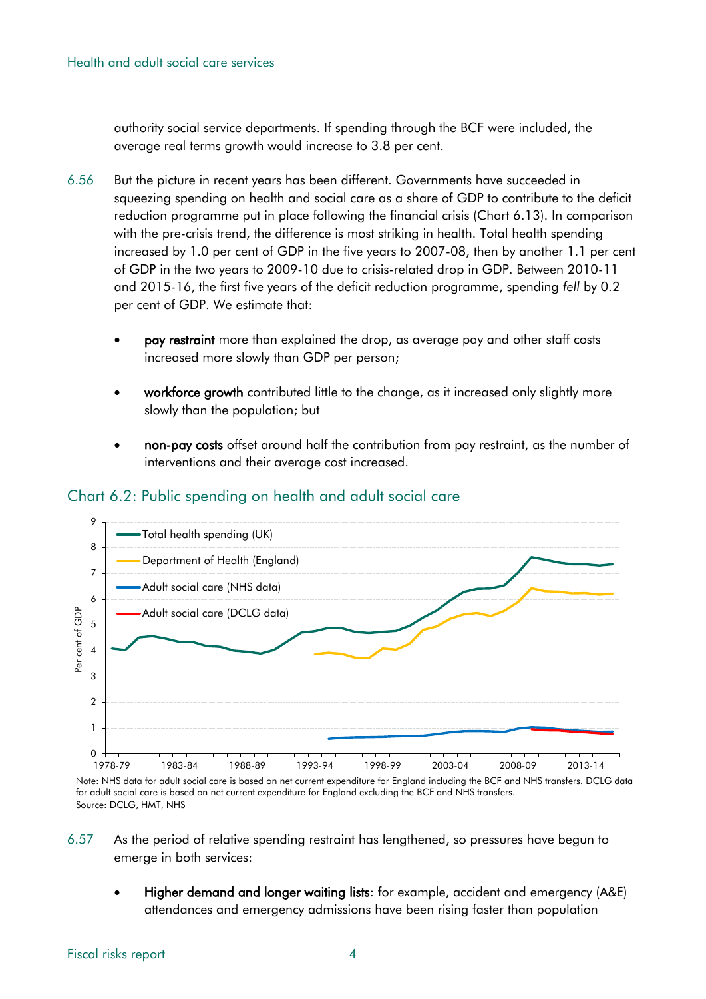authority social service departments. If spending through the BCF were included, the average real terms growth would increase to 3.8 per cent.

- 6.56 But the picture in recent years has been different. Governments have succeeded in squeezing spending on health and social care as a share of GDP to contribute to the deficit reduction programme put in place following the financial crisis (Chart 6.13). In comparison with the pre-crisis trend, the difference is most striking in health. Total health spending increased by 1.0 per cent of GDP in the five years to 2007-08, then by another 1.1 per cent of GDP in the two years to 2009-10 due to crisis-related drop in GDP. Between 2010-11 and 2015-16, the first five years of the deficit reduction programme, spending *fell* by 0.2 per cent of GDP. We estimate that:
	- pay restraint more than explained the drop, as average pay and other staff costs increased more slowly than GDP per person;
	- workforce growth contributed little to the change, as it increased only slightly more slowly than the population; but
	- non-pay costs offset around half the contribution from pay restraint, as the number of interventions and their average cost increased.



#### Chart 6.2: Public spending on health and adult social care

Source: DCLG, HMT, NHS Note: NHS data for adult social care is based on net current expenditure for England including the BCF and NHS transfers. DCLG data for adult social care is based on net current expenditure for England excluding the BCF and NHS transfers.

- 6.57 As the period of relative spending restraint has lengthened, so pressures have begun to emerge in both services:
	- Higher demand and longer waiting lists: for example, accident and emergency (A&E) attendances and emergency admissions have been rising faster than population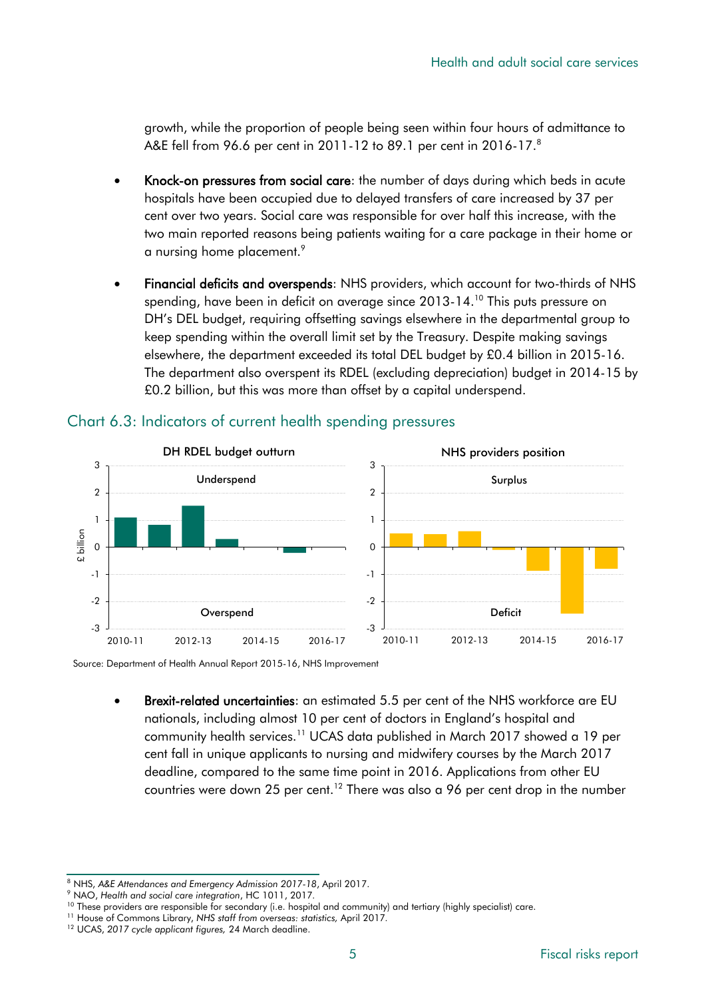growth, while the proportion of people being seen within four hours of admittance to A&E fell from 96.6 per cent in 2011-12 to 89.1 per cent in 2016-17.<sup>8</sup>

- Knock-on pressures from social care: the number of days during which beds in acute hospitals have been occupied due to delayed transfers of care increased by 37 per cent over two years. Social care was responsible for over half this increase, with the two main reported reasons being patients waiting for a care package in their home or a nursing home placement. 9
- Financial deficits and overspends: NHS providers, which account for two-thirds of NHS spending, have been in deficit on average since 2013-14.<sup>10</sup> This puts pressure on DH's DEL budget, requiring offsetting savings elsewhere in the departmental group to keep spending within the overall limit set by the Treasury. Despite making savings elsewhere, the department exceeded its total DEL budget by £0.4 billion in 2015-16. The department also overspent its RDEL (excluding depreciation) budget in 2014-15 by £0.2 billion, but this was more than offset by a capital underspend.



#### Chart 6.3: Indicators of current health spending pressures

Source: Department of Health Annual Report 2015-16, NHS Improvement

 Brexit-related uncertainties: an estimated 5.5 per cent of the NHS workforce are EU nationals, including almost 10 per cent of doctors in England's hospital and community health services.<sup>11</sup> UCAS data published in March 2017 showed a 19 per cent fall in unique applicants to nursing and midwifery courses by the March 2017 deadline, compared to the same time point in 2016. Applications from other EU countries were down 25 per cent.<sup>12</sup> There was also a 96 per cent drop in the number

<sup>8</sup> NHS, *A&E Attendances and Emergency Admission 2017-18*, April 2017.

<sup>9</sup> NAO, *Health and social care integration*, HC 1011, 2017*.*

<sup>&</sup>lt;sup>10</sup> These providers are responsible for secondary (i.e. hospital and community) and tertiary (highly specialist) care.

<sup>11</sup> House of Commons Library, *NHS staff from overseas: statistics,* April 2017*.*

<sup>12</sup> UCAS, *2017 cycle applicant figures,* 24 March deadline.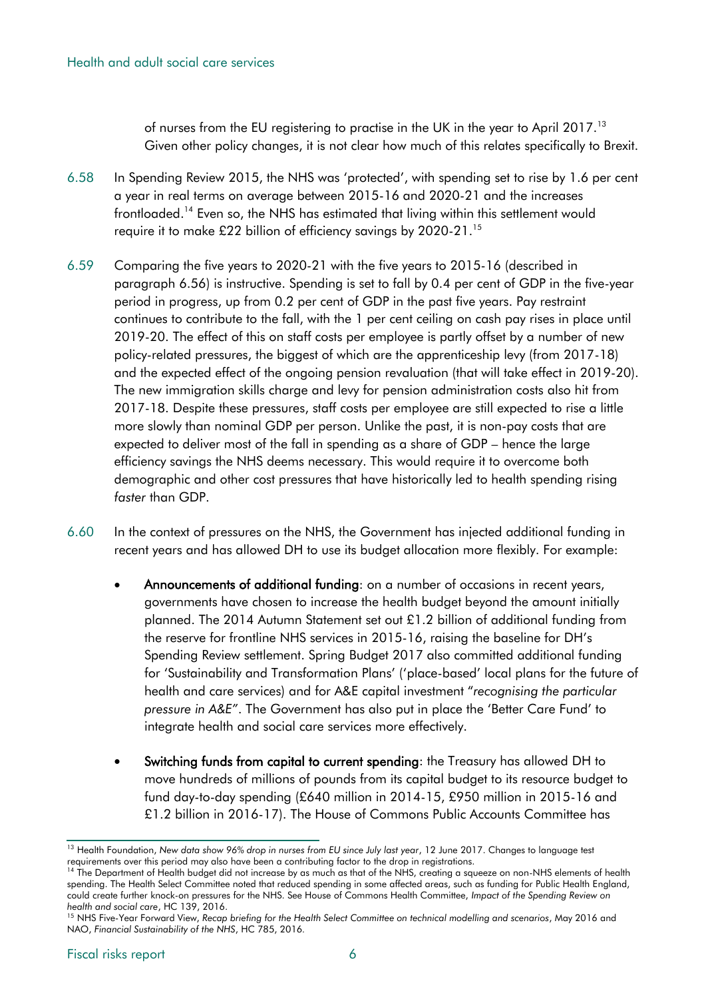of nurses from the EU registering to practise in the UK in the year to April 2017.<sup>13</sup> Given other policy changes, it is not clear how much of this relates specifically to Brexit.

- 6.58 In Spending Review 2015, the NHS was 'protected', with spending set to rise by 1.6 per cent a year in real terms on average between 2015-16 and 2020-21 and the increases frontloaded.<sup>14</sup> Even so, the NHS has estimated that living within this settlement would require it to make £22 billion of efficiency savings by 2020-21.<sup>15</sup>
- 6.59 Comparing the five years to 2020-21 with the five years to 2015-16 (described in paragraph 6.56) is instructive. Spending is set to fall by 0.4 per cent of GDP in the five-year period in progress, up from 0.2 per cent of GDP in the past five years. Pay restraint continues to contribute to the fall, with the 1 per cent ceiling on cash pay rises in place until 2019-20. The effect of this on staff costs per employee is partly offset by a number of new policy-related pressures, the biggest of which are the apprenticeship levy (from 2017-18) and the expected effect of the ongoing pension revaluation (that will take effect in 2019-20). The new immigration skills charge and levy for pension administration costs also hit from 2017-18. Despite these pressures, staff costs per employee are still expected to rise a little more slowly than nominal GDP per person. Unlike the past, it is non-pay costs that are expected to deliver most of the fall in spending as a share of GDP – hence the large efficiency savings the NHS deems necessary. This would require it to overcome both demographic and other cost pressures that have historically led to health spending rising *faster* than GDP.
- 6.60 In the context of pressures on the NHS, the Government has injected additional funding in recent years and has allowed DH to use its budget allocation more flexibly. For example:
	- Announcements of additional funding: on a number of occasions in recent years, governments have chosen to increase the health budget beyond the amount initially planned. The 2014 Autumn Statement set out £1.2 billion of additional funding from the reserve for frontline NHS services in 2015-16, raising the baseline for DH's Spending Review settlement. Spring Budget 2017 also committed additional funding for 'Sustainability and Transformation Plans' ('place-based' local plans for the future of health and care services) and for A&E capital investment "*recognising the particular pressure in A&E"*. The Government has also put in place the 'Better Care Fund' to integrate health and social care services more effectively.
	- Switching funds from capital to current spending: the Treasury has allowed DH to move hundreds of millions of pounds from its capital budget to its resource budget to fund day-to-day spending (£640 million in 2014-15, £950 million in 2015-16 and £1.2 billion in 2016-17). The House of Commons Public Accounts Committee has

<sup>&</sup>lt;sup>13</sup> Health Foundation, New data show 96% drop in nurses from EU since July last year, 12 June 2017. Changes to language test requirements over this period may also have been a contributing factor to the drop in registrations.

<sup>&</sup>lt;sup>14</sup> The Department of Health budget did not increase by as much as that of the NHS, creating a squeeze on non-NHS elements of health spending. The Health Select Committee noted that reduced spending in some affected areas, such as funding for Public Health England, could create further knock-on pressures for the NHS. See House of Commons Health Committee, *Impact of the Spending Review on health and social care*, HC 139, 2016.

<sup>&</sup>lt;sup>15</sup> NHS Five-Year Forward View, Recap briefing for the Health Select Committee on technical modelling and scenarios, May 2016 and NAO, *Financial Sustainability of the NHS*, HC 785, 2016*.*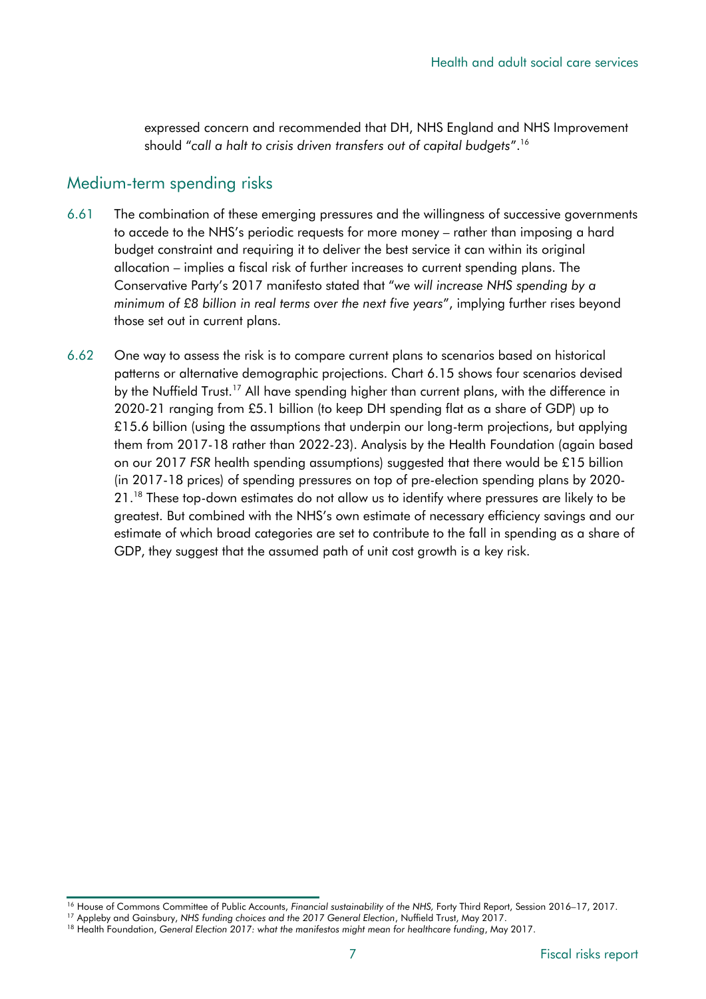expressed concern and recommended that DH, NHS England and NHS Improvement should "*call a halt to crisis driven transfers out of capital budgets*".<sup>16</sup>

#### Medium-term spending risks

- 6.61 The combination of these emerging pressures and the willingness of successive governments to accede to the NHS's periodic requests for more money – rather than imposing a hard budget constraint and requiring it to deliver the best service it can within its original allocation – implies a fiscal risk of further increases to current spending plans. The Conservative Party's 2017 manifesto stated that "*we will increase NHS spending by a minimum of £8 billion in real terms over the next five years*", implying further rises beyond those set out in current plans.
- 6.62 One way to assess the risk is to compare current plans to scenarios based on historical patterns or alternative demographic projections. Chart 6.15 shows four scenarios devised by the Nuffield Trust.<sup>17</sup> All have spending higher than current plans, with the difference in 2020-21 ranging from £5.1 billion (to keep DH spending flat as a share of GDP) up to £15.6 billion (using the assumptions that underpin our long-term projections, but applying them from 2017-18 rather than 2022-23). Analysis by the Health Foundation (again based on our 2017 *FSR* health spending assumptions) suggested that there would be £15 billion (in 2017-18 prices) of spending pressures on top of pre-election spending plans by 2020- 21.<sup>18</sup> These top-down estimates do not allow us to identify where pressures are likely to be greatest. But combined with the NHS's own estimate of necessary efficiency savings and our estimate of which broad categories are set to contribute to the fall in spending as a share of GDP, they suggest that the assumed path of unit cost growth is a key risk.

<sup>&</sup>lt;sup>16</sup> House of Commons Committee of Public Accounts, *Financial sustainability of the NHS*, Forty Third Report, Session 2016–17, 2017.

<sup>17</sup> Appleby and Gainsbury, *NHS funding choices and the 2017 General Election*, Nuffield Trust, May 2017.

<sup>&</sup>lt;sup>18</sup> Health Foundation, General Election 2017: what the manifestos might mean for healthcare funding, May 2017.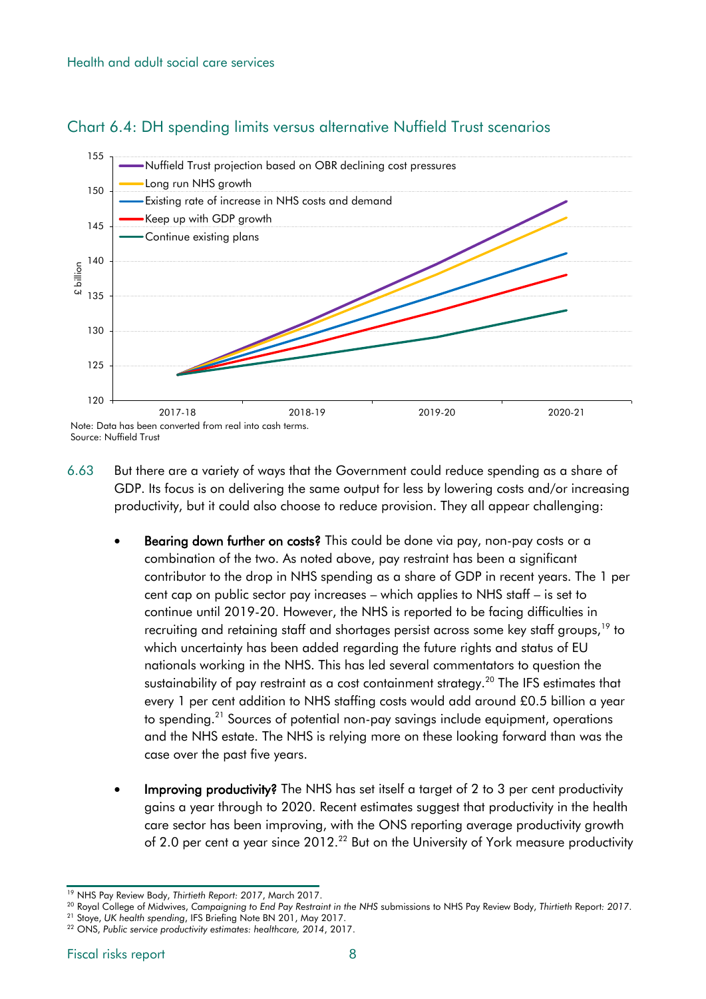

#### Chart 6.4: DH spending limits versus alternative Nuffield Trust scenarios

- 6.63 But there are a variety of ways that the Government could reduce spending as a share of GDP. Its focus is on delivering the same output for less by lowering costs and/or increasing productivity, but it could also choose to reduce provision. They all appear challenging:
	- Bearing down further on costs? This could be done via pay, non-pay costs or a combination of the two. As noted above, pay restraint has been a significant contributor to the drop in NHS spending as a share of GDP in recent years. The 1 per cent cap on public sector pay increases – which applies to NHS staff – is set to continue until 2019-20. However, the NHS is reported to be facing difficulties in recruiting and retaining staff and shortages persist across some key staff groups,<sup>19</sup> to which uncertainty has been added regarding the future rights and status of EU nationals working in the NHS. This has led several commentators to question the sustainability of pay restraint as a cost containment strategy.<sup>20</sup> The IFS estimates that every 1 per cent addition to NHS staffing costs would add around £0.5 billion a year to spending.<sup>21</sup> Sources of potential non-pay savings include equipment, operations and the NHS estate. The NHS is relying more on these looking forward than was the case over the past five years.
	- Improving productivity? The NHS has set itself a target of 2 to 3 per cent productivity gains a year through to 2020. Recent estimates suggest that productivity in the health care sector has been improving, with the ONS reporting average productivity growth of 2.0 per cent a year since 2012.<sup>22</sup> But on the University of York measure productivity

<sup>19</sup> NHS Pay Review Body, *Thirtieth Report: 2017*, March 2017.

<sup>20</sup> Royal College of Midwives, *Campaigning to End Pay Restraint in the NHS* submissions to NHS Pay Review Body, *Thirtieth* Report*: 2017*. <sup>21</sup> Stoye, *UK health spending*, IFS Briefing Note BN 201, May 2017.

<sup>22</sup> ONS, *Public service productivity estimates: healthcare, 2014*, 2017.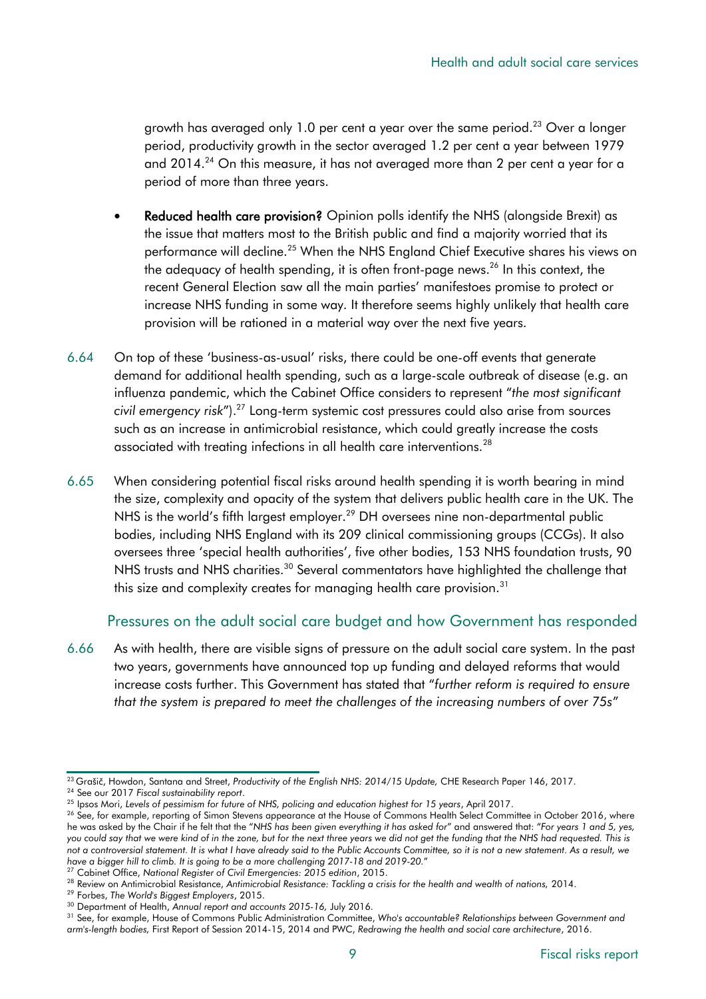growth has averaged only 1.0 per cent a year over the same period.<sup>23</sup> Over a longer period, productivity growth in the sector averaged 1.2 per cent a year between 1979 and 2014.<sup>24</sup> On this measure, it has not averaged more than 2 per cent a year for a period of more than three years.

- Reduced health care provision? Opinion polls identify the NHS (alongside Brexit) as the issue that matters most to the British public and find a majority worried that its performance will decline.<sup>25</sup> When the NHS England Chief Executive shares his views on the adequacy of health spending, it is often front-page news.<sup>26</sup> In this context, the recent General Election saw all the main parties' manifestoes promise to protect or increase NHS funding in some way. It therefore seems highly unlikely that health care provision will be rationed in a material way over the next five years.
- 6.64 On top of these 'business-as-usual' risks, there could be one-off events that generate demand for additional health spending, such as a large-scale outbreak of disease (e.g. an influenza pandemic, which the Cabinet Office considers to represent "*the most significant civil emergency risk*").<sup>27</sup> Long-term systemic cost pressures could also arise from sources such as an increase in antimicrobial resistance, which could greatly increase the costs associated with treating infections in all health care interventions.<sup>28</sup>
- 6.65 When considering potential fiscal risks around health spending it is worth bearing in mind the size, complexity and opacity of the system that delivers public health care in the UK. The NHS is the world's fifth largest employer.<sup>29</sup> DH oversees nine non-departmental public bodies, including NHS England with its 209 clinical commissioning groups (CCGs). It also oversees three 'special health authorities', five other bodies, 153 NHS foundation trusts, 90 NHS trusts and NHS charities.<sup>30</sup> Several commentators have highlighted the challenge that this size and complexity creates for managing health care provision.<sup>31</sup>

#### Pressures on the adult social care budget and how Government has responded

6.66 As with health, there are visible signs of pressure on the adult social care system. In the past two years, governments have announced top up funding and delayed reforms that would increase costs further. This Government has stated that "*further reform is required to ensure that the system is prepared to meet the challenges of the increasing numbers of over 75s*"

<sup>27</sup> Cabinet Office, *National Register of Civil Emergencies: 2015 edition*, 2015.

<sup>23</sup> Grašič, Howdon, Santana and Street, *Productivity of the English NHS: 2014/15 Update,* CHE Research Paper 146, 2017.

<sup>24</sup> See our 2017 *Fiscal sustainability report*.

<sup>25</sup> Ipsos Mori, *Levels of pessimism for future of NHS, policing and education highest for 15 years*, April 2017.

<sup>&</sup>lt;sup>26</sup> See, for example, reporting of Simon Stevens appearance at the House of Commons Health Select Committee in October 2016, where he was asked by the Chair if he felt that the "*NHS has been given everything it has asked for*" and answered that: "*For years 1 and 5, yes, you could say that we were kind of in the zone, but for the next three years we did not get the funding that the NHS had requested. This is not a controversial statement. It is what I have already said to the Public Accounts Committee, so it is not a new statement. As a result, we have a bigger hill to climb. It is going to be a more challenging 2017-18 and 2019-20.*"

<sup>28</sup> Review on Antimicrobial Resistance, *Antimicrobial Resistance: Tackling a crisis for the health and wealth of nations,* 2014.

<sup>29</sup> Forbes, *The World's Biggest Employers*, 2015.

<sup>30</sup> Department of Health, *Annual report and accounts 2015-16,* July 2016.

<sup>31</sup> See, for example, House of Commons Public Administration Committee, *Who's accountable? Relationships between Government and arm's-length bodies,* First Report of Session 2014-15, 2014 and PWC, *Redrawing the health and social care architecture*, 2016.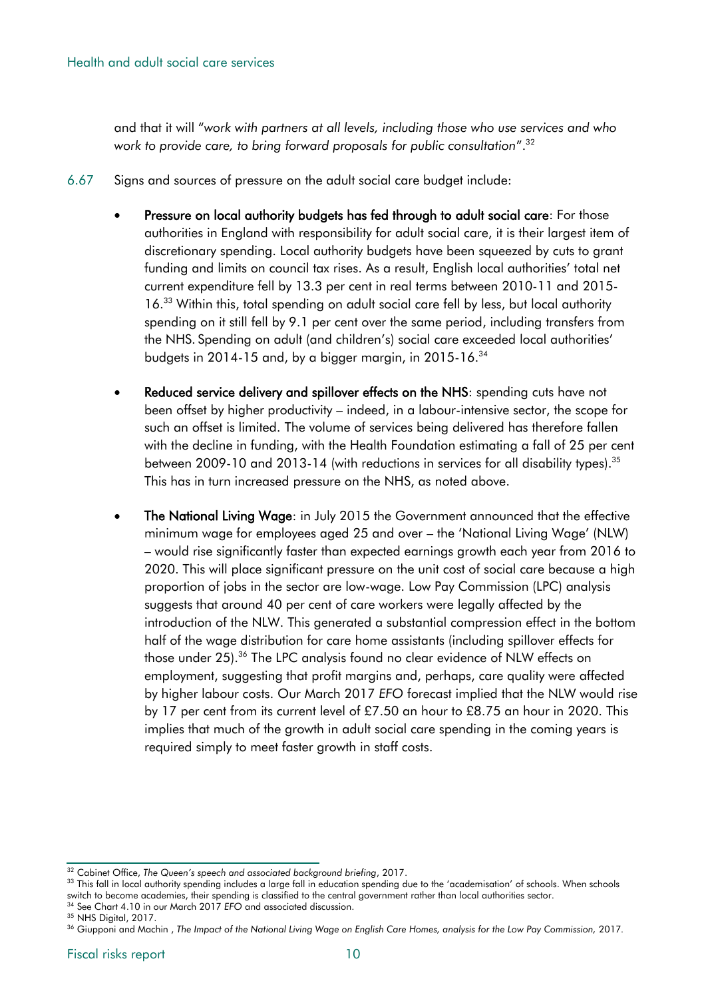and that it will "*work with partners at all levels, including those who use services and who work to provide care, to bring forward proposals for public consultation*".<sup>32</sup>

- 6.67 Signs and sources of pressure on the adult social care budget include:
	- Pressure on local authority budgets has fed through to adult social care: For those authorities in England with responsibility for adult social care, it is their largest item of discretionary spending. Local authority budgets have been squeezed by cuts to grant funding and limits on council tax rises. As a result, English local authorities' total net current expenditure fell by 13.3 per cent in real terms between 2010-11 and 2015- 16. <sup>33</sup> Within this, total spending on adult social care fell by less, but local authority spending on it still fell by 9.1 per cent over the same period, including transfers from the NHS. Spending on adult (and children's) social care exceeded local authorities' budgets in 2014-15 and, by a bigger margin, in 2015-16.<sup>34</sup>
	- Reduced service delivery and spillover effects on the NHS: spending cuts have not been offset by higher productivity – indeed, in a labour-intensive sector, the scope for such an offset is limited. The volume of services being delivered has therefore fallen with the decline in funding, with the Health Foundation estimating a fall of 25 per cent between 2009-10 and 2013-14 (with reductions in services for all disability types). $^{\rm 35}$ This has in turn increased pressure on the NHS, as noted above.
	- The National Living Wage: in July 2015 the Government announced that the effective minimum wage for employees aged 25 and over – the 'National Living Wage' (NLW) – would rise significantly faster than expected earnings growth each year from 2016 to 2020. This will place significant pressure on the unit cost of social care because a high proportion of jobs in the sector are low-wage. Low Pay Commission (LPC) analysis suggests that around 40 per cent of care workers were legally affected by the introduction of the NLW. This generated a substantial compression effect in the bottom half of the wage distribution for care home assistants (including spillover effects for those under 25).<sup>36</sup> The LPC analysis found no clear evidence of NLW effects on employment, suggesting that profit margins and, perhaps, care quality were affected by higher labour costs. Our March 2017 *EFO* forecast implied that the NLW would rise by 17 per cent from its current level of £7.50 an hour to £8.75 an hour in 2020. This implies that much of the growth in adult social care spending in the coming years is required simply to meet faster growth in staff costs.

<sup>32</sup> Cabinet Office, *The Queen's speech and associated background briefing*, 2017.

<sup>33</sup> This fall in local authority spending includes a large fall in education spending due to the 'academisation' of schools. When schools switch to become academies, their spending is classified to the central government rather than local authorities sector. <sup>34</sup> See Chart 4.10 in our March 2017 *EFO* and associated discussion.

<sup>&</sup>lt;sup>35</sup> NHS Digital, 2017.

<sup>&</sup>lt;sup>36</sup> Giupponi and Machin, The Impact of the National Living Wage on English Care Homes, analysis for the Low Pay Commission, 2017.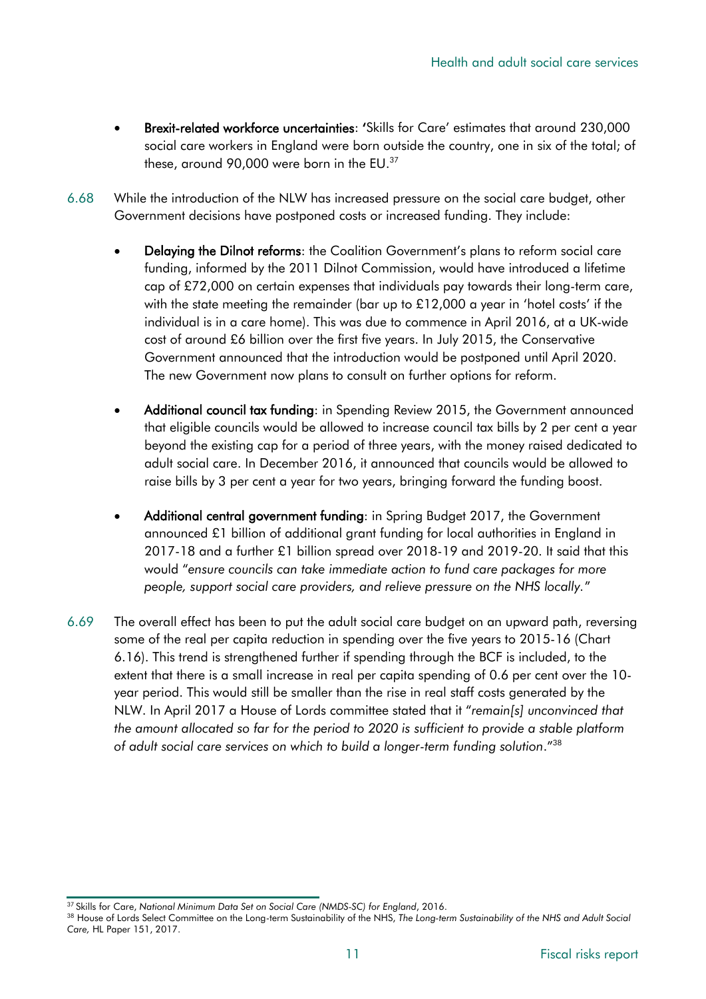- Brexit-related workforce uncertainties: 'Skills for Care' estimates that around 230,000 social care workers in England were born outside the country, one in six of the total; of these, around 90,000 were born in the EU.<sup>37</sup>
- 6.68 While the introduction of the NLW has increased pressure on the social care budget, other Government decisions have postponed costs or increased funding. They include:
	- Delaying the Dilnot reforms: the Coalition Government's plans to reform social care funding, informed by the 2011 Dilnot Commission, would have introduced a lifetime cap of £72,000 on certain expenses that individuals pay towards their long-term care, with the state meeting the remainder (bar up to £12,000 a year in 'hotel costs' if the individual is in a care home). This was due to commence in April 2016, at a UK-wide cost of around £6 billion over the first five years. In July 2015, the Conservative Government announced that the introduction would be postponed until April 2020. The new Government now plans to consult on further options for reform.
	- Additional council tax funding: in Spending Review 2015, the Government announced that eligible councils would be allowed to increase council tax bills by 2 per cent a year beyond the existing cap for a period of three years, with the money raised dedicated to adult social care. In December 2016, it announced that councils would be allowed to raise bills by 3 per cent a year for two years, bringing forward the funding boost.
	- Additional central government funding: in Spring Budget 2017, the Government announced £1 billion of additional grant funding for local authorities in England in 2017-18 and a further £1 billion spread over 2018-19 and 2019-20. It said that this would "*ensure councils can take immediate action to fund care packages for more people, support social care providers, and relieve pressure on the NHS locally.*"
- 6.69 The overall effect has been to put the adult social care budget on an upward path, reversing some of the real per capita reduction in spending over the five years to 2015-16 (Chart 6.16). This trend is strengthened further if spending through the BCF is included, to the extent that there is a small increase in real per capita spending of 0.6 per cent over the 10 year period. This would still be smaller than the rise in real staff costs generated by the NLW. In April 2017 a House of Lords committee stated that it "*remain[s] unconvinced that the amount allocated so far for the period to 2020 is sufficient to provide a stable platform of adult social care services on which to build a longer-term funding solution*." 38

<sup>37</sup> Skills for Care, *National Minimum Data Set on Social Care (NMDS-SC) for England*, 2016.

<sup>38</sup> House of Lords Select Committee on the Long-term Sustainability of the NHS, *The Long-term Sustainability of the NHS and Adult Social Care,* HL Paper 151, 2017.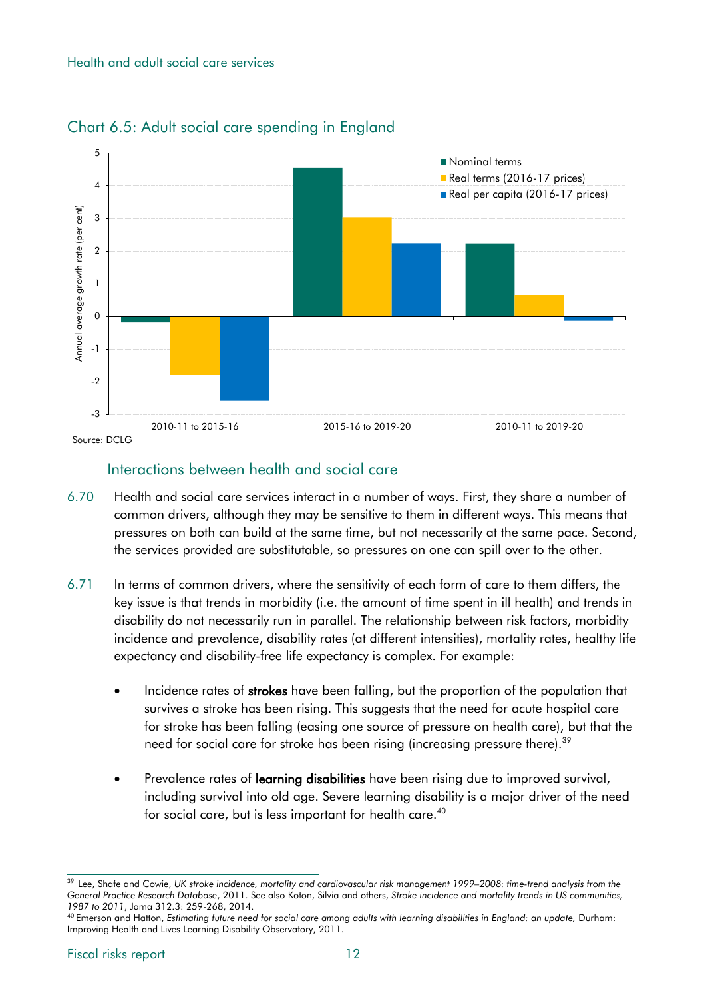#### Health and adult social care services



# Chart 6.5: Adult social care spending in England

# Interactions between health and social care

- 6.70 Health and social care services interact in a number of ways. First, they share a number of common drivers, although they may be sensitive to them in different ways. This means that pressures on both can build at the same time, but not necessarily at the same pace. Second, the services provided are substitutable, so pressures on one can spill over to the other.
- 6.71 In terms of common drivers, where the sensitivity of each form of care to them differs, the key issue is that trends in morbidity (i.e. the amount of time spent in ill health) and trends in disability do not necessarily run in parallel. The relationship between risk factors, morbidity incidence and prevalence, disability rates (at different intensities), mortality rates, healthy life expectancy and disability-free life expectancy is complex. For example:
	- Incidence rates of strokes have been falling, but the proportion of the population that survives a stroke has been rising. This suggests that the need for acute hospital care for stroke has been falling (easing one source of pressure on health care), but that the need for social care for stroke has been rising (increasing pressure there).<sup>39</sup>
	- Prevalence rates of learning disabilities have been rising due to improved survival, including survival into old age. Severe learning disability is a major driver of the need for social care, but is less important for health care. 40

<sup>39</sup> Lee, Shafe and Cowie, *UK stroke incidence, mortality and cardiovascular risk management 1999–2008: time-trend analysis from the General Practice Research Database*, 2011. See also Koton, Silvia and others, *Stroke incidence and mortality trends in US communities, 1987 to 2011*, Jama 312.3: 259-268, 2014.

<sup>40</sup> Emerson and Hatton, *Estimating future need for social care among adults with learning disabilities in England: an update,* Durham: Improving Health and Lives Learning Disability Observatory, 2011.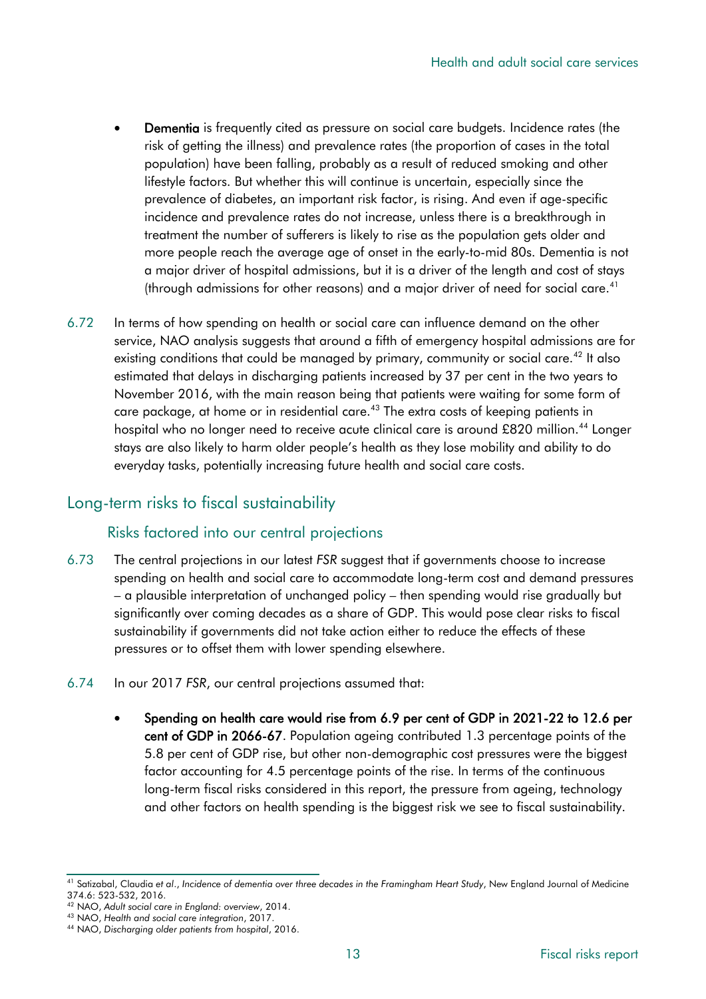- Dementia is frequently cited as pressure on social care budgets. Incidence rates (the risk of getting the illness) and prevalence rates (the proportion of cases in the total population) have been falling, probably as a result of reduced smoking and other lifestyle factors. But whether this will continue is uncertain, especially since the prevalence of diabetes, an important risk factor, is rising. And even if age-specific incidence and prevalence rates do not increase, unless there is a breakthrough in treatment the number of sufferers is likely to rise as the population gets older and more people reach the average age of onset in the early-to-mid 80s. Dementia is not a major driver of hospital admissions, but it is a driver of the length and cost of stays (through admissions for other reasons) and a major driver of need for social care. 41
- 6.72 In terms of how spending on health or social care can influence demand on the other service, NAO analysis suggests that around a fifth of emergency hospital admissions are for existing conditions that could be managed by primary, community or social care.<sup>42</sup> It also estimated that delays in discharging patients increased by 37 per cent in the two years to November 2016, with the main reason being that patients were waiting for some form of care package, at home or in residential care.<sup>43</sup> The extra costs of keeping patients in hospital who no longer need to receive acute clinical care is around £820 million.<sup>44</sup> Longer stays are also likely to harm older people's health as they lose mobility and ability to do everyday tasks, potentially increasing future health and social care costs.

# Long-term risks to fiscal sustainability

#### Risks factored into our central projections

- 6.73 The central projections in our latest *FSR* suggest that if governments choose to increase spending on health and social care to accommodate long-term cost and demand pressures – a plausible interpretation of unchanged policy – then spending would rise gradually but significantly over coming decades as a share of GDP. This would pose clear risks to fiscal sustainability if governments did not take action either to reduce the effects of these pressures or to offset them with lower spending elsewhere.
- 6.74 In our 2017 *FSR*, our central projections assumed that:
	- Spending on health care would rise from 6.9 per cent of GDP in 2021-22 to 12.6 per cent of GDP in 2066-67. Population ageing contributed 1.3 percentage points of the 5.8 per cent of GDP rise, but other non-demographic cost pressures were the biggest factor accounting for 4.5 percentage points of the rise. In terms of the continuous long-term fiscal risks considered in this report, the pressure from ageing, technology and other factors on health spending is the biggest risk we see to fiscal sustainability.

<sup>41</sup> Satizabal, Claudia *et al*., *Incidence of dementia over three decades in the Framingham Heart Study*, New England Journal of Medicine 374.6: 523-532, 2016.

<sup>42</sup> NAO, *Adult social care in England: overview*, 2014.

<sup>43</sup> NAO, *Health and social care integration*, 2017.

<sup>44</sup> NAO, *Discharging older patients from hospital*, 2016.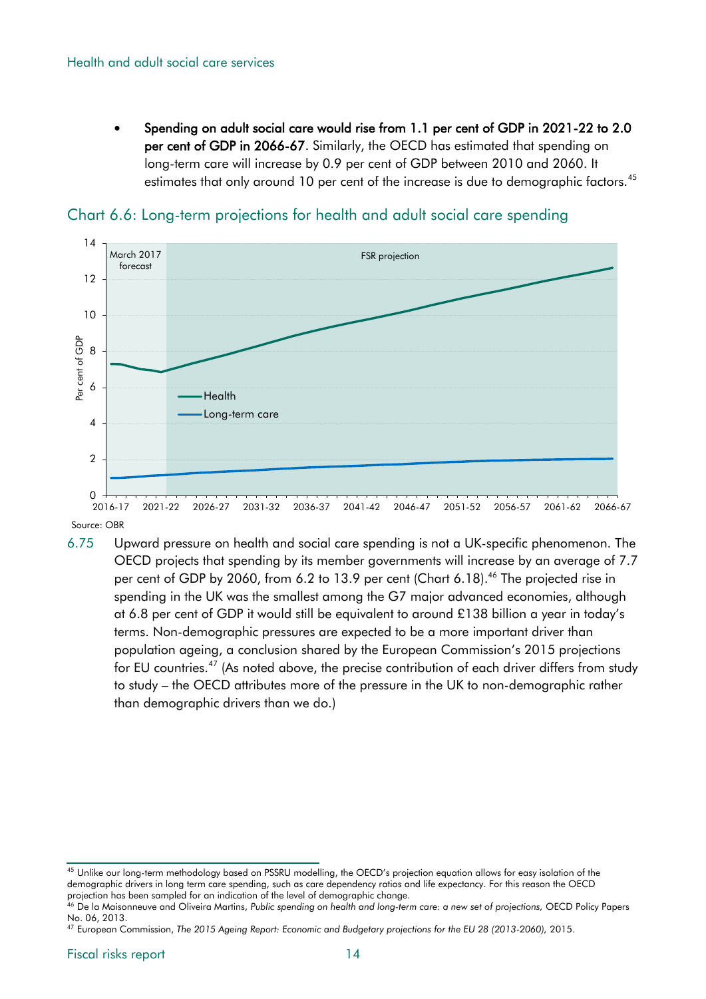Spending on adult social care would rise from 1.1 per cent of GDP in 2021-22 to 2.0 per cent of GDP in 2066-67. Similarly, the OECD has estimated that spending on long-term care will increase by 0.9 per cent of GDP between 2010 and 2060. It estimates that only around 10 per cent of the increase is due to demographic factors.<sup>45</sup>



Chart 6.6: Long-term projections for health and adult social care spending

Source: OBR

6.75 Upward pressure on health and social care spending is not a UK-specific phenomenon. The OECD projects that spending by its member governments will increase by an average of 7.7 per cent of GDP by 2060, from 6.2 to 13.9 per cent (Chart 6.18). <sup>46</sup> The projected rise in spending in the UK was the smallest among the G7 major advanced economies, although at 6.8 per cent of GDP it would still be equivalent to around £138 billion a year in today's terms. Non-demographic pressures are expected to be a more important driver than population ageing, a conclusion shared by the European Commission's 2015 projections for EU countries.<sup>47</sup> (As noted above, the precise contribution of each driver differs from study to study – the OECD attributes more of the pressure in the UK to non-demographic rather than demographic drivers than we do.)

<sup>&</sup>lt;sup>45</sup> Unlike our long-term methodology based on PSSRU modelling, the OECD's projection equation allows for easy isolation of the demographic drivers in long term care spending, such as care dependency ratios and life expectancy. For this reason the OECD projection has been sampled for an indication of the level of demographic change.

<sup>46</sup> De la Maisonneuve and Oliveira Martins, *Public spending on health and long-term care: a new set of projections,* OECD Policy Papers No. 06, 2013.

<sup>47</sup> European Commission, *The 2015 Ageing Report: Economic and Budgetary projections for the EU 28 (2013-2060),* 2015.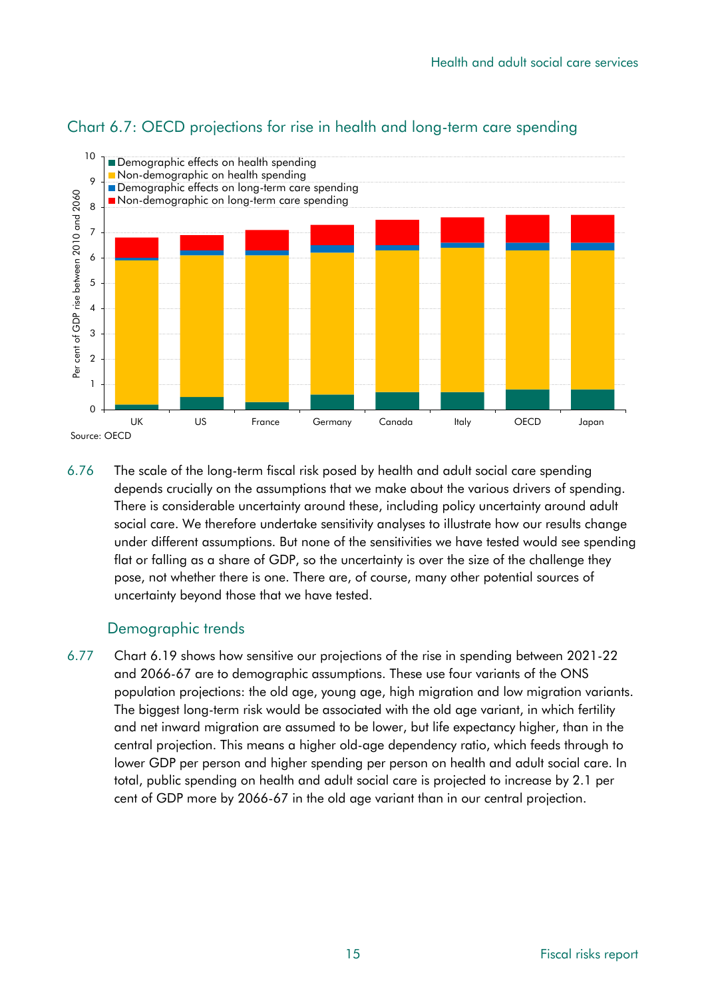

# Chart 6.7: OECD projections for rise in health and long-term care spending

6.76 The scale of the long-term fiscal risk posed by health and adult social care spending depends crucially on the assumptions that we make about the various drivers of spending. There is considerable uncertainty around these, including policy uncertainty around adult social care. We therefore undertake sensitivity analyses to illustrate how our results change under different assumptions. But none of the sensitivities we have tested would see spending flat or falling as a share of GDP, so the uncertainty is over the size of the challenge they pose, not whether there is one. There are, of course, many other potential sources of uncertainty beyond those that we have tested.

#### Demographic trends

6.77 Chart 6.19 shows how sensitive our projections of the rise in spending between 2021-22 and 2066-67 are to demographic assumptions. These use four variants of the ONS population projections: the old age, young age, high migration and low migration variants. The biggest long-term risk would be associated with the old age variant, in which fertility and net inward migration are assumed to be lower, but life expectancy higher, than in the central projection. This means a higher old-age dependency ratio, which feeds through to lower GDP per person and higher spending per person on health and adult social care. In total, public spending on health and adult social care is projected to increase by 2.1 per cent of GDP more by 2066-67 in the old age variant than in our central projection.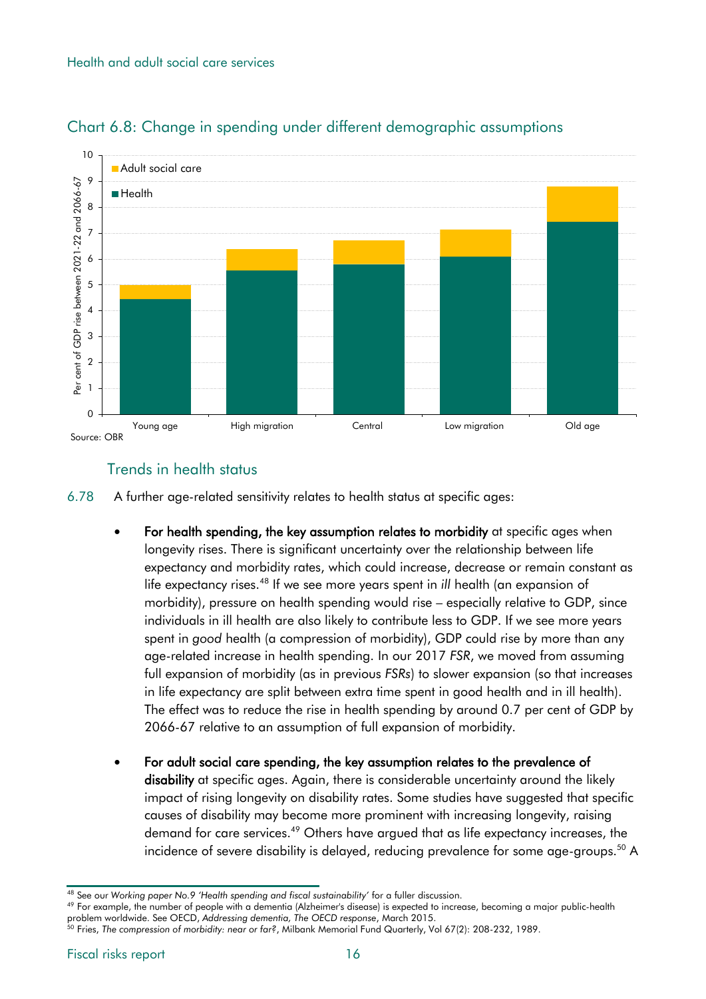

# Chart 6.8: Change in spending under different demographic assumptions

# Trends in health status

6.78 A further age-related sensitivity relates to health status at specific ages:

- For health spending, the key assumption relates to morbidity at specific ages when longevity rises. There is significant uncertainty over the relationship between life expectancy and morbidity rates, which could increase, decrease or remain constant as life expectancy rises.<sup>48</sup> If we see more years spent in *ill* health (an expansion of morbidity), pressure on health spending would rise – especially relative to GDP, since individuals in ill health are also likely to contribute less to GDP. If we see more years spent in *good* health (a compression of morbidity), GDP could rise by more than any age-related increase in health spending. In our 2017 *FSR*, we moved from assuming full expansion of morbidity (as in previous *FSRs*) to slower expansion (so that increases in life expectancy are split between extra time spent in good health and in ill health). The effect was to reduce the rise in health spending by around 0.7 per cent of GDP by 2066-67 relative to an assumption of full expansion of morbidity.
- For adult social care spending, the key assumption relates to the prevalence of disability at specific ages. Again, there is considerable uncertainty around the likely impact of rising longevity on disability rates. Some studies have suggested that specific causes of disability may become more prominent with increasing longevity, raising demand for care services.<sup>49</sup> Others have argued that as life expectancy increases, the incidence of severe disability is delayed, reducing prevalence for some age-groups.<sup>50</sup> A

<sup>49</sup> For example, the number of people with a dementia (Alzheimer's disease) is expected to increase, becoming a major public-health problem worldwide. See OECD, *Addressing dementia, The OECD response*, March 2015.

<sup>48</sup> See our *Working paper No.9 'Health spending and fiscal sustainability'* for a fuller discussion.

<sup>50</sup> Fries, *The compression of morbidity: near or far?*, Milbank Memorial Fund Quarterly, Vol 67(2): 208-232, 1989.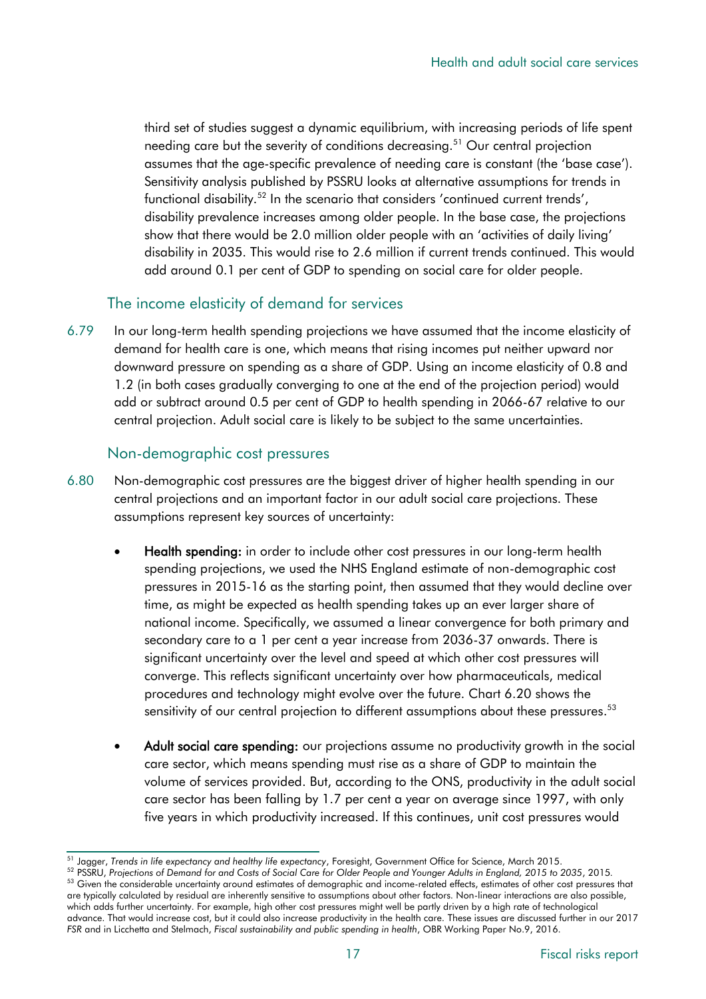third set of studies suggest a dynamic equilibrium, with increasing periods of life spent needing care but the severity of conditions decreasing.<sup>51</sup> Our central projection assumes that the age-specific prevalence of needing care is constant (the 'base case'). Sensitivity analysis published by PSSRU looks at alternative assumptions for trends in functional disability.<sup>52</sup> In the scenario that considers 'continued current trends', disability prevalence increases among older people. In the base case, the projections show that there would be 2.0 million older people with an 'activities of daily living' disability in 2035. This would rise to 2.6 million if current trends continued. This would add around 0.1 per cent of GDP to spending on social care for older people.

#### The income elasticity of demand for services

6.79 In our long-term health spending projections we have assumed that the income elasticity of demand for health care is one, which means that rising incomes put neither upward nor downward pressure on spending as a share of GDP. Using an income elasticity of 0.8 and 1.2 (in both cases gradually converging to one at the end of the projection period) would add or subtract around 0.5 per cent of GDP to health spending in 2066-67 relative to our central projection. Adult social care is likely to be subject to the same uncertainties.

#### Non-demographic cost pressures

- 6.80 Non-demographic cost pressures are the biggest driver of higher health spending in our central projections and an important factor in our adult social care projections. These assumptions represent key sources of uncertainty:
	- Health spending: in order to include other cost pressures in our long-term health spending projections, we used the NHS England estimate of non-demographic cost pressures in 2015-16 as the starting point, then assumed that they would decline over time, as might be expected as health spending takes up an ever larger share of national income. Specifically, we assumed a linear convergence for both primary and secondary care to a 1 per cent a year increase from 2036-37 onwards. There is significant uncertainty over the level and speed at which other cost pressures will converge. This reflects significant uncertainty over how pharmaceuticals, medical procedures and technology might evolve over the future. Chart 6.20 shows the sensitivity of our central projection to different assumptions about these pressures.<sup>53</sup>
	- Adult social care spending: our projections assume no productivity growth in the social care sector, which means spending must rise as a share of GDP to maintain the volume of services provided. But, according to the ONS, productivity in the adult social care sector has been falling by 1.7 per cent a year on average since 1997, with only five years in which productivity increased. If this continues, unit cost pressures would

<sup>51</sup> Jagger, *Trends in life expectancy and healthy life expectancy*, Foresight, Government Office for Science, March 2015.

<sup>52</sup> PSSRU, *Projections of Demand for and Costs of Social Care for Older People and Younger Adults in England, 2015 to 2035*, 2015*.* 53 Given the considerable uncertainty around estimates of demographic and income-related effects, estimates of other cost pressures that are typically calculated by residual are inherently sensitive to assumptions about other factors. Non-linear interactions are also possible, which adds further uncertainty. For example, high other cost pressures might well be partly driven by a high rate of technological advance. That would increase cost, but it could also increase productivity in the health care. These issues are discussed further in our 2017 *FSR* and in Licchetta and Stelmach, *Fiscal sustainability and public spending in health*, OBR Working Paper No.9, 2016.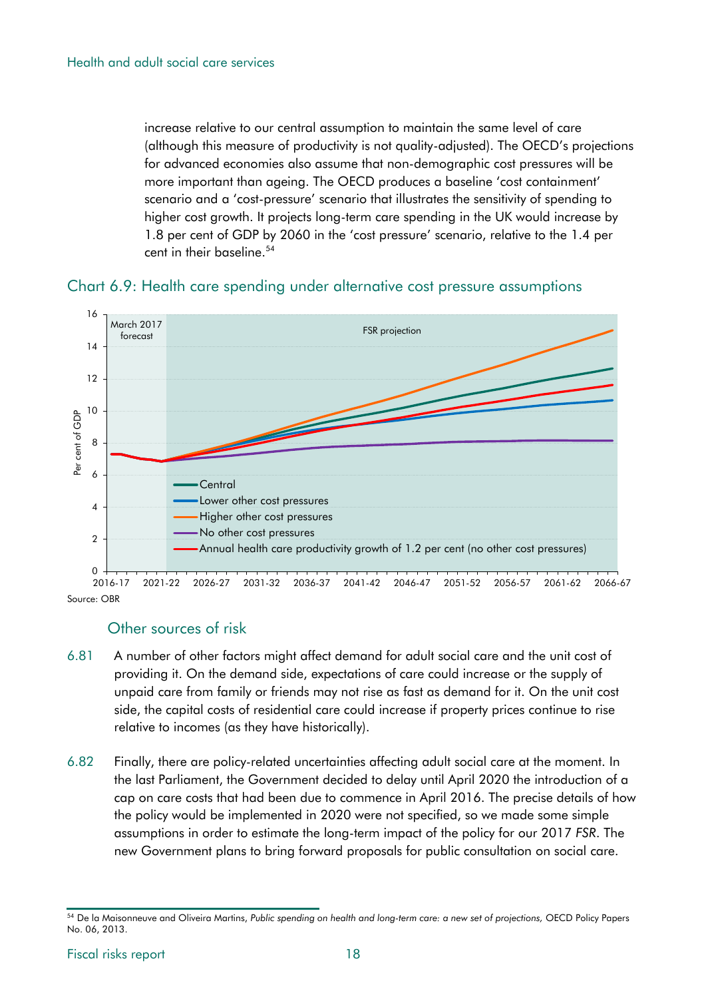increase relative to our central assumption to maintain the same level of care (although this measure of productivity is not quality-adjusted). The OECD's projections for advanced economies also assume that non-demographic cost pressures will be more important than ageing. The OECD produces a baseline 'cost containment' scenario and a 'cost-pressure' scenario that illustrates the sensitivity of spending to higher cost growth. It projects long-term care spending in the UK would increase by 1.8 per cent of GDP by 2060 in the 'cost pressure' scenario, relative to the 1.4 per cent in their baseline. 54





#### Other sources of risk

- 6.81 A number of other factors might affect demand for adult social care and the unit cost of providing it. On the demand side, expectations of care could increase or the supply of unpaid care from family or friends may not rise as fast as demand for it. On the unit cost side, the capital costs of residential care could increase if property prices continue to rise relative to incomes (as they have historically).
- 6.82 Finally, there are policy-related uncertainties affecting adult social care at the moment. In the last Parliament, the Government decided to delay until April 2020 the introduction of a cap on care costs that had been due to commence in April 2016. The precise details of how the policy would be implemented in 2020 were not specified, so we made some simple assumptions in order to estimate the long-term impact of the policy for our 2017 *FSR*. The new Government plans to bring forward proposals for public consultation on social care.

<sup>54</sup> De la Maisonneuve and Oliveira Martins, *Public spending on health and long-term care: a new set of projections,* OECD Policy Papers No. 06, 2013.